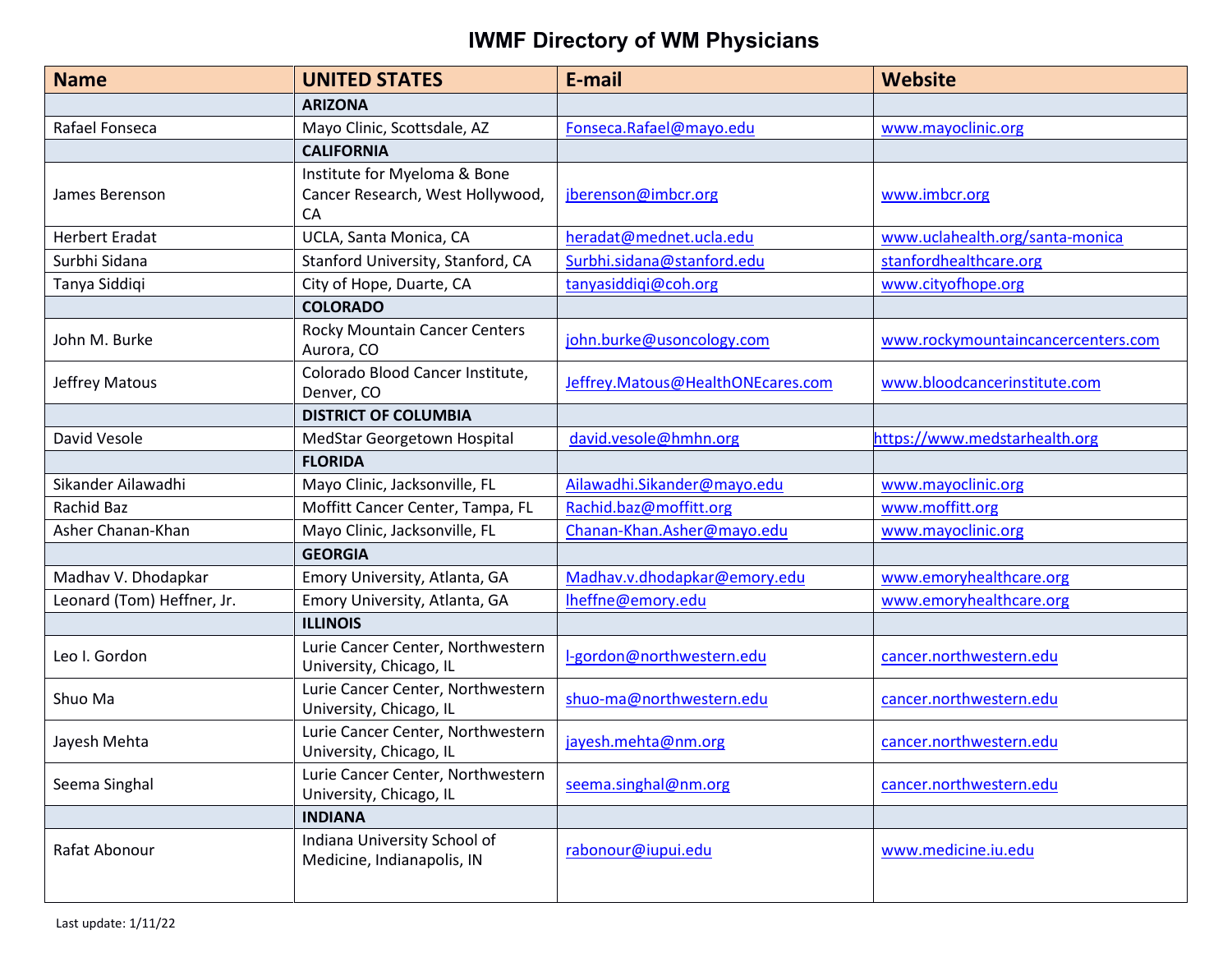| <b>Name</b>                | <b>UNITED STATES</b>                                                   | E-mail                            | <b>Website</b>                     |
|----------------------------|------------------------------------------------------------------------|-----------------------------------|------------------------------------|
|                            | <b>ARIZONA</b>                                                         |                                   |                                    |
| Rafael Fonseca             | Mayo Clinic, Scottsdale, AZ                                            | Fonseca.Rafael@mayo.edu           | www.mayoclinic.org                 |
|                            | <b>CALIFORNIA</b>                                                      |                                   |                                    |
| James Berenson             | Institute for Myeloma & Bone<br>Cancer Research, West Hollywood,<br>CA | jberenson@imbcr.org               | www.imbcr.org                      |
| <b>Herbert Eradat</b>      | UCLA, Santa Monica, CA                                                 | heradat@mednet.ucla.edu           | www.uclahealth.org/santa-monica    |
| Surbhi Sidana              | Stanford University, Stanford, CA                                      | Surbhi.sidana@stanford.edu        | stanfordhealthcare.org             |
| Tanya Siddiqi              | City of Hope, Duarte, CA                                               | tanyasiddiqi@coh.org              | www.cityofhope.org                 |
|                            | <b>COLORADO</b>                                                        |                                   |                                    |
| John M. Burke              | Rocky Mountain Cancer Centers<br>Aurora, CO                            | john.burke@usoncology.com         | www.rockymountaincancercenters.com |
| Jeffrey Matous             | Colorado Blood Cancer Institute,<br>Denver, CO                         | Jeffrey.Matous@HealthONEcares.com | www.bloodcancerinstitute.com       |
|                            | <b>DISTRICT OF COLUMBIA</b>                                            |                                   |                                    |
| David Vesole               | MedStar Georgetown Hospital                                            | david.vesole@hmhn.org             | https://www.medstarhealth.org      |
|                            | <b>FLORIDA</b>                                                         |                                   |                                    |
| Sikander Ailawadhi         | Mayo Clinic, Jacksonville, FL                                          | Ailawadhi.Sikander@mayo.edu       | www.mayoclinic.org                 |
| Rachid Baz                 | Moffitt Cancer Center, Tampa, FL                                       | Rachid.baz@moffitt.org            | www.moffitt.org                    |
| Asher Chanan-Khan          | Mayo Clinic, Jacksonville, FL                                          | Chanan-Khan.Asher@mayo.edu        | www.mayoclinic.org                 |
|                            | <b>GEORGIA</b>                                                         |                                   |                                    |
| Madhav V. Dhodapkar        | Emory University, Atlanta, GA                                          | Madhav.v.dhodapkar@emory.edu      | www.emoryhealthcare.org            |
| Leonard (Tom) Heffner, Jr. | Emory University, Atlanta, GA                                          | Iheffne@emory.edu                 | www.emoryhealthcare.org            |
|                            | <b>ILLINOIS</b>                                                        |                                   |                                    |
| Leo I. Gordon              | Lurie Cancer Center, Northwestern<br>University, Chicago, IL           | I-gordon@northwestern.edu         | cancer.northwestern.edu            |
| Shuo Ma                    | Lurie Cancer Center, Northwestern<br>University, Chicago, IL           | shuo-ma@northwestern.edu          | cancer.northwestern.edu            |
| Jayesh Mehta               | Lurie Cancer Center, Northwestern<br>University, Chicago, IL           | jayesh.mehta@nm.org               | cancer.northwestern.edu            |
| Seema Singhal              | Lurie Cancer Center, Northwestern<br>University, Chicago, IL           | seema.singhal@nm.org              | cancer.northwestern.edu            |
|                            | <b>INDIANA</b>                                                         |                                   |                                    |
| Rafat Abonour              | Indiana University School of<br>Medicine, Indianapolis, IN             | rabonour@iupui.edu                | www.medicine.iu.edu                |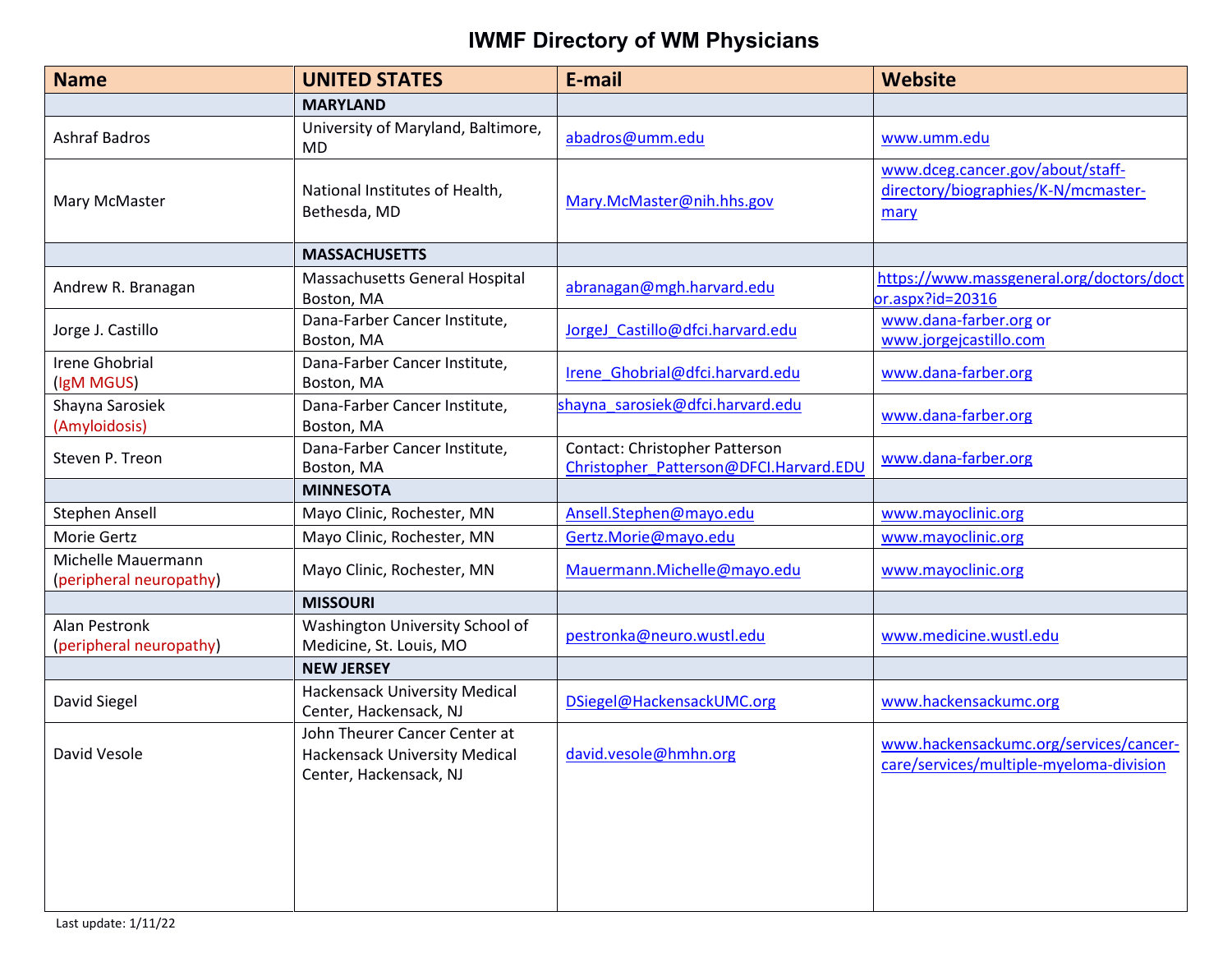| <b>Name</b>                                   | <b>UNITED STATES</b>                                                                            | E-mail                                                                   | <b>Website</b>                                                                    |
|-----------------------------------------------|-------------------------------------------------------------------------------------------------|--------------------------------------------------------------------------|-----------------------------------------------------------------------------------|
|                                               | <b>MARYLAND</b>                                                                                 |                                                                          |                                                                                   |
| <b>Ashraf Badros</b>                          | University of Maryland, Baltimore,<br>MD                                                        | abadros@umm.edu                                                          | www.umm.edu                                                                       |
| Mary McMaster                                 | National Institutes of Health,<br>Bethesda, MD                                                  | Mary.McMaster@nih.hhs.gov                                                | www.dceg.cancer.gov/about/staff-<br>directory/biographies/K-N/mcmaster-<br>mary   |
|                                               | <b>MASSACHUSETTS</b>                                                                            |                                                                          |                                                                                   |
| Andrew R. Branagan                            | Massachusetts General Hospital<br>Boston, MA                                                    | abranagan@mgh.harvard.edu                                                | https://www.massgeneral.org/doctors/doct<br>or.aspx?id=20316                      |
| Jorge J. Castillo                             | Dana-Farber Cancer Institute,<br>Boston, MA                                                     | JorgeJ_Castillo@dfci.harvard.edu                                         | www.dana-farber.org or<br>www.jorgejcastillo.com                                  |
| <b>Irene Ghobrial</b><br>(IgM MGUS)           | Dana-Farber Cancer Institute,<br>Boston, MA                                                     | Irene Ghobrial@dfci.harvard.edu                                          | www.dana-farber.org                                                               |
| Shayna Sarosiek<br>(Amyloidosis)              | Dana-Farber Cancer Institute,<br>Boston, MA                                                     | shayna sarosiek@dfci.harvard.edu                                         | www.dana-farber.org                                                               |
| Steven P. Treon                               | Dana-Farber Cancer Institute,<br>Boston, MA                                                     | Contact: Christopher Patterson<br>Christopher Patterson@DFCI.Harvard.EDU | www.dana-farber.org                                                               |
|                                               | <b>MINNESOTA</b>                                                                                |                                                                          |                                                                                   |
| Stephen Ansell                                | Mayo Clinic, Rochester, MN                                                                      | Ansell.Stephen@mayo.edu                                                  | www.mayoclinic.org                                                                |
| Morie Gertz                                   | Mayo Clinic, Rochester, MN                                                                      | Gertz.Morie@mayo.edu                                                     | www.mayoclinic.org                                                                |
| Michelle Mauermann<br>(peripheral neuropathy) | Mayo Clinic, Rochester, MN                                                                      | Mauermann.Michelle@mayo.edu                                              | www.mayoclinic.org                                                                |
|                                               | <b>MISSOURI</b>                                                                                 |                                                                          |                                                                                   |
| Alan Pestronk<br>(peripheral neuropathy)      | Washington University School of<br>Medicine, St. Louis, MO                                      | pestronka@neuro.wustl.edu                                                | www.medicine.wustl.edu                                                            |
|                                               | <b>NEW JERSEY</b>                                                                               |                                                                          |                                                                                   |
| David Siegel                                  | <b>Hackensack University Medical</b><br>Center, Hackensack, NJ                                  | DSiegel@HackensackUMC.org                                                | www.hackensackumc.org                                                             |
| David Vesole                                  | John Theurer Cancer Center at<br><b>Hackensack University Medical</b><br>Center, Hackensack, NJ | david.vesole@hmhn.org                                                    | www.hackensackumc.org/services/cancer-<br>care/services/multiple-myeloma-division |
|                                               |                                                                                                 |                                                                          |                                                                                   |
|                                               |                                                                                                 |                                                                          |                                                                                   |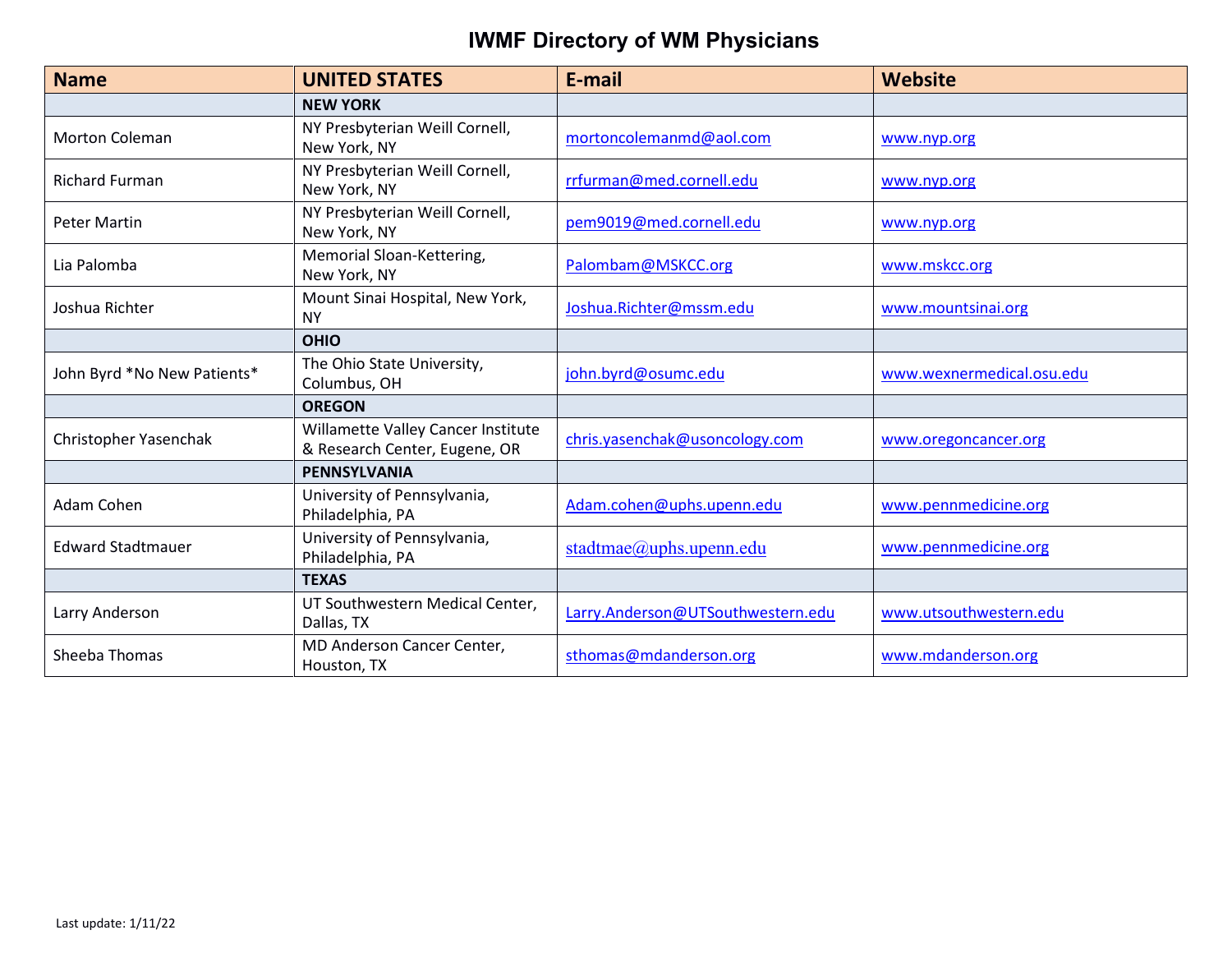| <b>Name</b>                 | <b>UNITED STATES</b>                                                | E-mail                            | <b>Website</b>            |
|-----------------------------|---------------------------------------------------------------------|-----------------------------------|---------------------------|
|                             | <b>NEW YORK</b>                                                     |                                   |                           |
| <b>Morton Coleman</b>       | NY Presbyterian Weill Cornell,<br>New York, NY                      | mortoncolemanmd@aol.com           | www.nyp.org               |
| <b>Richard Furman</b>       | NY Presbyterian Weill Cornell,<br>New York, NY                      | rrfurman@med.cornell.edu          | www.nyp.org               |
| <b>Peter Martin</b>         | NY Presbyterian Weill Cornell,<br>New York, NY                      | pem9019@med.cornell.edu           | www.nyp.org               |
| Lia Palomba                 | Memorial Sloan-Kettering,<br>New York, NY                           | Palombam@MSKCC.org                | www.mskcc.org             |
| Joshua Richter              | Mount Sinai Hospital, New York,<br><b>NY</b>                        | Joshua.Richter@mssm.edu           | www.mountsinai.org        |
|                             | <b>OHIO</b>                                                         |                                   |                           |
| John Byrd *No New Patients* | The Ohio State University,<br>Columbus, OH                          | john.byrd@osumc.edu               | www.wexnermedical.osu.edu |
|                             | <b>OREGON</b>                                                       |                                   |                           |
| Christopher Yasenchak       | Willamette Valley Cancer Institute<br>& Research Center, Eugene, OR | chris.yasenchak@usoncology.com    | www.oregoncancer.org      |
|                             | <b>PENNSYLVANIA</b>                                                 |                                   |                           |
| Adam Cohen                  | University of Pennsylvania,<br>Philadelphia, PA                     | Adam.cohen@uphs.upenn.edu         | www.pennmedicine.org      |
| <b>Edward Stadtmauer</b>    | University of Pennsylvania,<br>Philadelphia, PA                     | stadtmae@uphs.upenn.edu           | www.pennmedicine.org      |
|                             | <b>TEXAS</b>                                                        |                                   |                           |
| Larry Anderson              | UT Southwestern Medical Center,<br>Dallas, TX                       | Larry.Anderson@UTSouthwestern.edu | www.utsouthwestern.edu    |
| Sheeba Thomas               | MD Anderson Cancer Center,<br>Houston, TX                           | sthomas@mdanderson.org            | www.mdanderson.org        |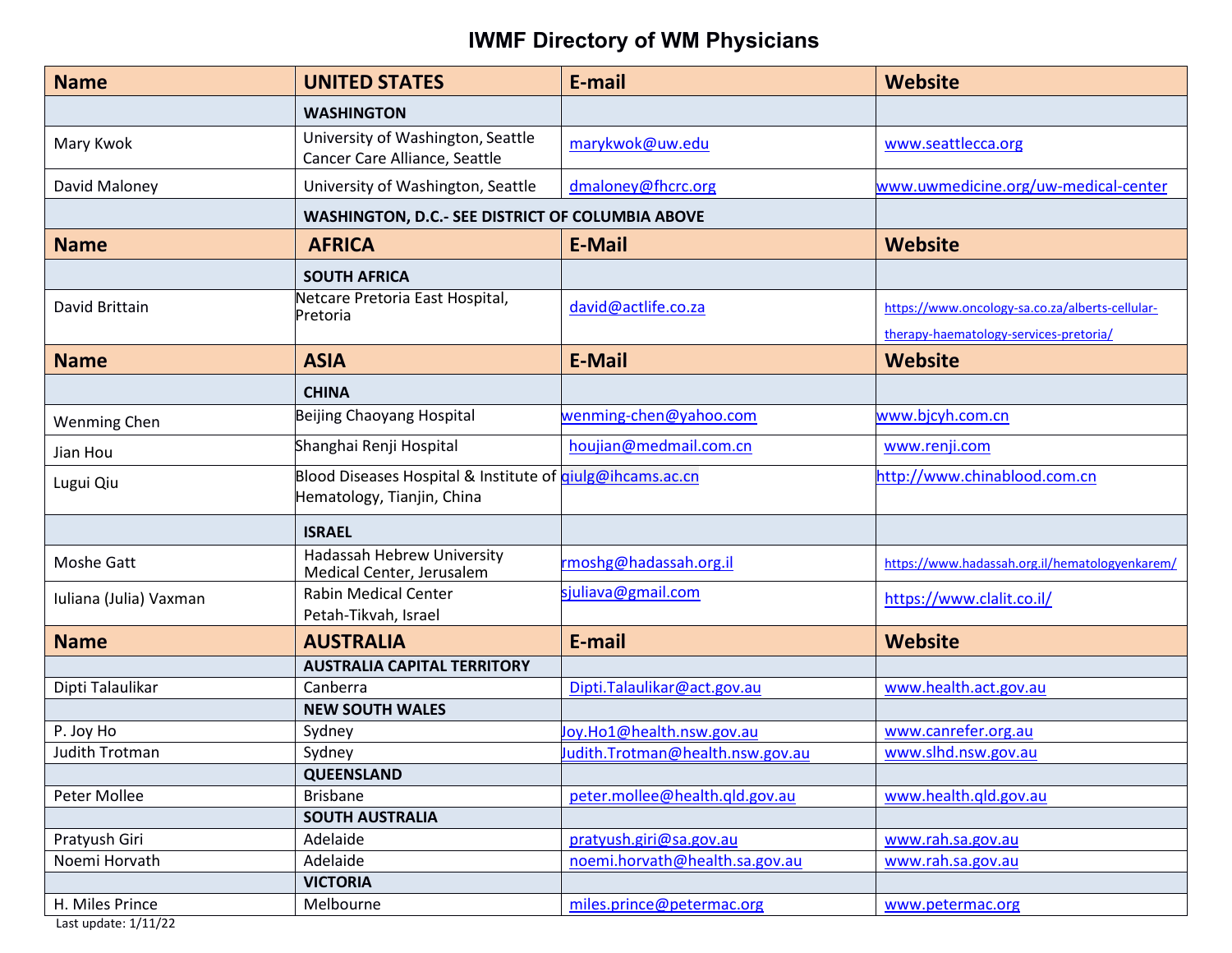| <b>Name</b>            | <b>UNITED STATES</b>                                                                           | E-mail                           | <b>Website</b>                                                                            |
|------------------------|------------------------------------------------------------------------------------------------|----------------------------------|-------------------------------------------------------------------------------------------|
|                        | <b>WASHINGTON</b>                                                                              |                                  |                                                                                           |
| Mary Kwok              | University of Washington, Seattle<br>Cancer Care Alliance, Seattle                             | marykwok@uw.edu                  | www.seattlecca.org                                                                        |
| David Maloney          | University of Washington, Seattle                                                              | dmaloney@fhcrc.org               | www.uwmedicine.org/uw-medical-center                                                      |
|                        | WASHINGTON, D.C.- SEE DISTRICT OF COLUMBIA ABOVE                                               |                                  |                                                                                           |
| <b>Name</b>            | <b>AFRICA</b>                                                                                  | <b>E-Mail</b>                    | <b>Website</b>                                                                            |
|                        | <b>SOUTH AFRICA</b>                                                                            |                                  |                                                                                           |
| David Brittain         | Netcare Pretoria East Hospital,<br>Pretoria                                                    | david@actlife.co.za              | https://www.oncology-sa.co.za/alberts-cellular-<br>therapy-haematology-services-pretoria/ |
| <b>Name</b>            | <b>ASIA</b>                                                                                    | <b>E-Mail</b>                    | <b>Website</b>                                                                            |
|                        | <b>CHINA</b>                                                                                   |                                  |                                                                                           |
| <b>Wenming Chen</b>    | Beijing Chaoyang Hospital                                                                      | wenming-chen@yahoo.com           | www.bjcyh.com.cn                                                                          |
| Jian Hou               | Shanghai Renji Hospital                                                                        | houjian@medmail.com.cn           | www.renji.com                                                                             |
| Lugui Qiu              | Blood Diseases Hospital & Institute of <i>qiulg@ihcams.ac.cn</i><br>Hematology, Tianjin, China |                                  | http://www.chinablood.com.cn                                                              |
|                        | <b>ISRAEL</b>                                                                                  |                                  |                                                                                           |
| Moshe Gatt             | Hadassah Hebrew University<br>Medical Center, Jerusalem                                        | rmoshg@hadassah.org.il           | https://www.hadassah.org.il/hematologyenkarem/                                            |
| Iuliana (Julia) Vaxman | <b>Rabin Medical Center</b><br>Petah-Tikvah, Israel                                            | sjuliava@gmail.com               | https://www.clalit.co.il/                                                                 |
| <b>Name</b>            | <b>AUSTRALIA</b>                                                                               | E-mail                           | Website                                                                                   |
|                        | <b>AUSTRALIA CAPITAL TERRITORY</b>                                                             |                                  |                                                                                           |
| Dipti Talaulikar       | Canberra                                                                                       | Dipti.Talaulikar@act.gov.au      | www.health.act.gov.au                                                                     |
|                        | <b>NEW SOUTH WALES</b>                                                                         |                                  |                                                                                           |
| P. Joy Ho              | Sydney                                                                                         | Joy.Ho1@health.nsw.gov.au        | www.canrefer.org.au                                                                       |
| Judith Trotman         | Sydney                                                                                         | Judith.Trotman@health.nsw.gov.au | www.slhd.nsw.gov.au                                                                       |
|                        | <b>QUEENSLAND</b>                                                                              |                                  |                                                                                           |
| Peter Mollee           | <b>Brisbane</b>                                                                                | peter.mollee@health.qld.gov.au   | www.health.qld.gov.au                                                                     |
|                        | <b>SOUTH AUSTRALIA</b>                                                                         |                                  |                                                                                           |
| Pratyush Giri          | Adelaide                                                                                       | pratyush.giri@sa.gov.au          | www.rah.sa.gov.au                                                                         |
| Noemi Horvath          | Adelaide                                                                                       | noemi.horvath@health.sa.gov.au   | www.rah.sa.gov.au                                                                         |
|                        | <b>VICTORIA</b>                                                                                |                                  |                                                                                           |
| H. Miles Prince        | Melbourne                                                                                      | miles.prince@petermac.org        | www.petermac.org                                                                          |

Last update: 1/11/22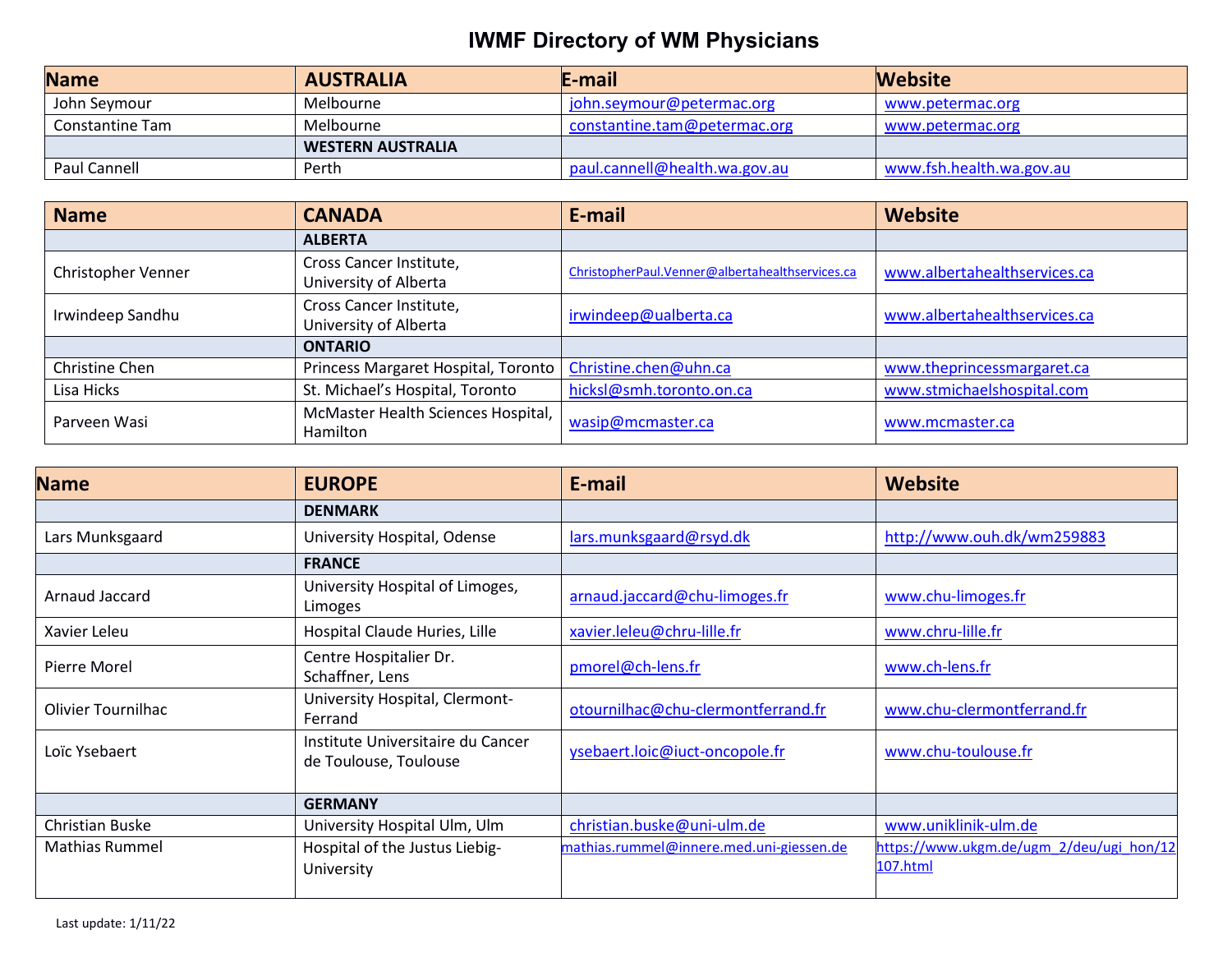| <b>Name</b>     | <b>AUSTRALIA</b>         | E-mail                        | <b>Website</b>           |
|-----------------|--------------------------|-------------------------------|--------------------------|
| John Seymour    | Melbourne                | john.seymour@petermac.org     | www.petermac.org         |
| Constantine Tam | Melbourne                | constantine.tam@petermac.org  | www.petermac.org         |
|                 | <b>WESTERN AUSTRALIA</b> |                               |                          |
| Paul Cannell    | Perth                    | paul.cannell@health.wa.gov.au | www.fsh.health.wa.gov.au |

| <b>Name</b>        | <b>CANADA</b>                                    | E-mail                                          | <b>Website</b>               |
|--------------------|--------------------------------------------------|-------------------------------------------------|------------------------------|
|                    | <b>ALBERTA</b>                                   |                                                 |                              |
| Christopher Venner | Cross Cancer Institute,<br>University of Alberta | ChristopherPaul.Venner@albertahealthservices.ca | www.albertahealthservices.ca |
| Irwindeep Sandhu   | Cross Cancer Institute,<br>University of Alberta | irwindeep@ualberta.ca                           | www.albertahealthservices.ca |
|                    | <b>ONTARIO</b>                                   |                                                 |                              |
| Christine Chen     | Princess Margaret Hospital, Toronto              | Christine.chen@uhn.ca                           | www.theprincessmargaret.ca   |
| Lisa Hicks         | St. Michael's Hospital, Toronto                  | hicksl@smh.toronto.on.ca                        | www.stmichaelshospital.com   |
| Parveen Wasi       | McMaster Health Sciences Hospital,<br>Hamilton   | wasip@mcmaster.ca                               | www.mcmaster.ca              |

| <b>Name</b>               | <b>EUROPE</b>                                              | E-mail                                   | Website                                              |
|---------------------------|------------------------------------------------------------|------------------------------------------|------------------------------------------------------|
|                           | <b>DENMARK</b>                                             |                                          |                                                      |
| Lars Munksgaard           | University Hospital, Odense                                | lars.munksgaard@rsyd.dk                  | http://www.ouh.dk/wm259883                           |
|                           | <b>FRANCE</b>                                              |                                          |                                                      |
| Arnaud Jaccard            | University Hospital of Limoges,<br>Limoges                 | arnaud.jaccard@chu-limoges.fr            | www.chu-limoges.fr                                   |
| Xavier Leleu              | Hospital Claude Huries, Lille                              | xavier.leleu@chru-lille.fr               | www.chru-lille.fr                                    |
| Pierre Morel              | Centre Hospitalier Dr.<br>Schaffner, Lens                  | pmorel@ch-lens.fr                        | www.ch-lens.fr                                       |
| <b>Olivier Tournilhac</b> | University Hospital, Clermont-<br>Ferrand                  | otournilhac@chu-clermontferrand.fr       | www.chu-clermontferrand.fr                           |
| Loïc Ysebaert             | Institute Universitaire du Cancer<br>de Toulouse, Toulouse | ysebaert.loic@iuct-oncopole.fr           | www.chu-toulouse.fr                                  |
|                           | <b>GERMANY</b>                                             |                                          |                                                      |
| <b>Christian Buske</b>    | University Hospital Ulm, Ulm                               | christian.buske@uni-ulm.de               | www.uniklinik-ulm.de                                 |
| <b>Mathias Rummel</b>     | Hospital of the Justus Liebig-<br>University               | mathias.rummel@innere.med.uni-giessen.de | https://www.ukgm.de/ugm 2/deu/ugi hon/12<br>107.html |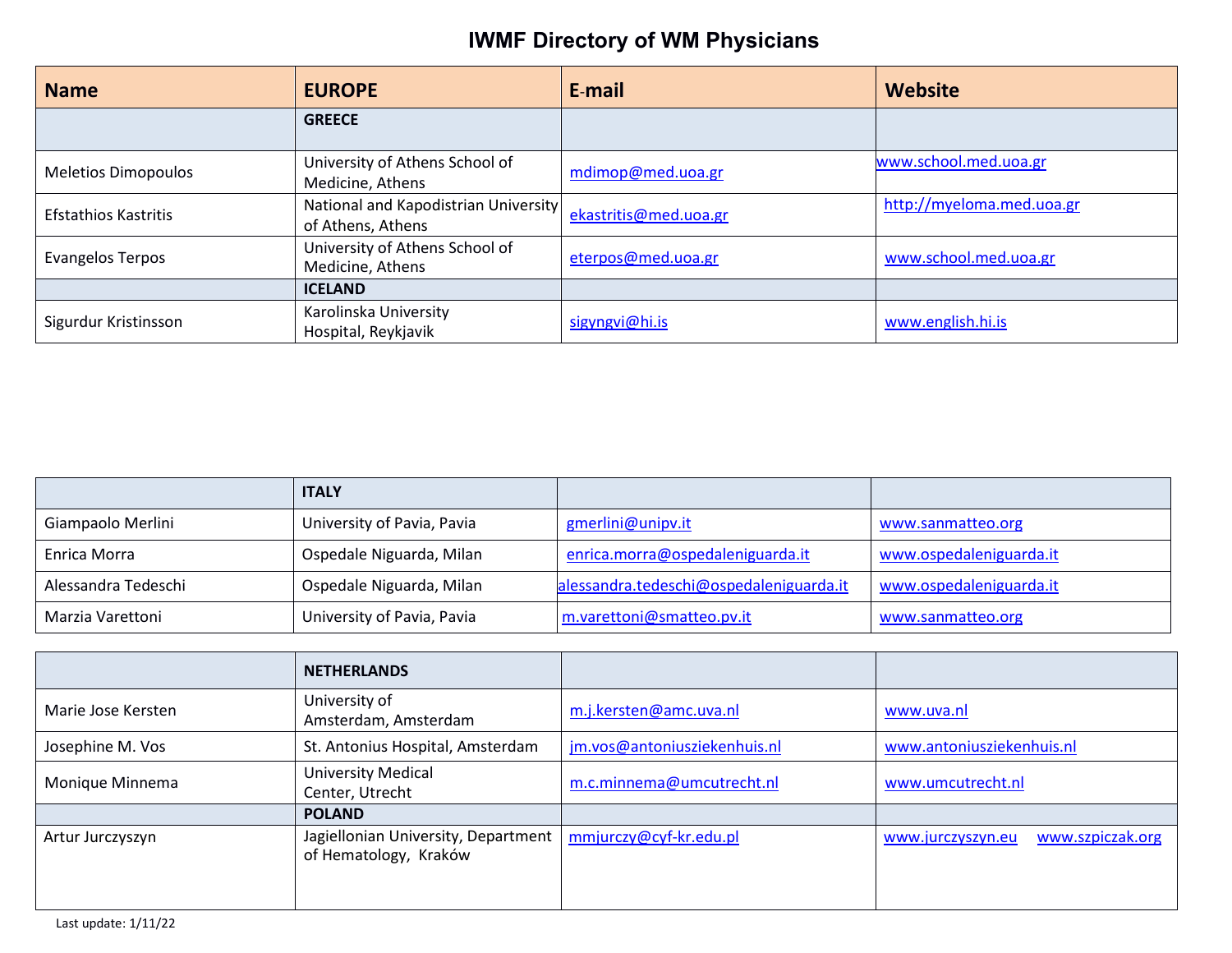| <b>Name</b>                 | <b>EUROPE</b>                                             | E-mail                | Website                   |
|-----------------------------|-----------------------------------------------------------|-----------------------|---------------------------|
|                             | <b>GREECE</b>                                             |                       |                           |
| <b>Meletios Dimopoulos</b>  | University of Athens School of<br>Medicine, Athens        | mdimop@med.uoa.gr     | www.school.med.uoa.gr     |
| <b>Efstathios Kastritis</b> | National and Kapodistrian University<br>of Athens, Athens | ekastritis@med.uoa.gr | http://myeloma.med.uoa.gr |
| Evangelos Terpos            | University of Athens School of<br>Medicine, Athens        | eterpos@med.uoa.gr    | www.school.med.uoa.gr     |
|                             | <b>ICELAND</b>                                            |                       |                           |
| Sigurdur Kristinsson        | Karolinska University<br>Hospital, Reykjavik              | sigyngvi@hi.is        | www.english.hi.is         |

|                     | <b>ITALY</b>               |                                         |                         |
|---------------------|----------------------------|-----------------------------------------|-------------------------|
| Giampaolo Merlini   | University of Pavia, Pavia | gmerlini@unipv.it                       | www.sanmatteo.org       |
| Enrica Morra        | Ospedale Niguarda, Milan   | enrica.morra@ospedaleniguarda.it        | www.ospedaleniguarda.it |
| Alessandra Tedeschi | Ospedale Niguarda, Milan   | alessandra.tedeschi@ospedaleniguarda.it | www.ospedaleniguarda.it |
| Marzia Varettoni    | University of Pavia, Pavia | m.varettoni@smatteo.pv.it               | www.sanmatteo.org       |

|                    | <b>NETHERLANDS</b>                                           |                              |                                       |
|--------------------|--------------------------------------------------------------|------------------------------|---------------------------------------|
| Marie Jose Kersten | University of<br>Amsterdam, Amsterdam                        | m.j.kersten@amc.uva.nl       | www.uva.nl                            |
| Josephine M. Vos   | St. Antonius Hospital, Amsterdam                             | jm.vos@antoniusziekenhuis.nl | www.antoniusziekenhuis.nl             |
| Monique Minnema    | <b>University Medical</b><br>Center, Utrecht                 | m.c.minnema@umcutrecht.nl    | www.umcutrecht.nl                     |
|                    | <b>POLAND</b>                                                |                              |                                       |
| Artur Jurczyszyn   | Jagiellonian University, Department<br>of Hematology, Kraków | mmjurczy@cyf-kr.edu.pl       | www.szpiczak.org<br>www.jurczyszyn.eu |